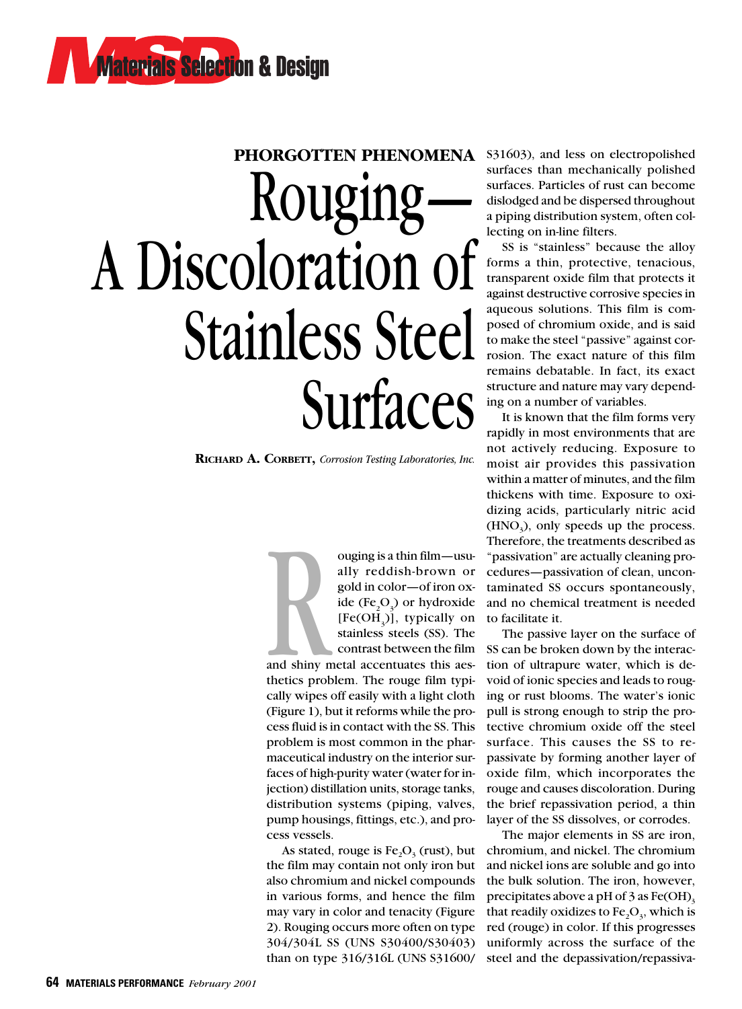# PHORGOTTEN PHENOMENA S31603), and less on electropolished Rouging A Discoloration of Stainless Steel Surfaces

**RICHARD A. CORBETT,** *Corrosion Testing Laboratories, Inc.*

ouging is a thin film—usually reddish-brown or gold in color—of iron oxide (Fe<sub>2</sub>O<sub>3</sub>) or hydroxide [Fe(OH<sub>3</sub>)], typically on stainless steels (SS). The contrast between the film any reddish brown of<br>gold in color—of iron ox-<br>ide (Fe<sub>2</sub>O<sub>3</sub>) or hydroxide<br>[Fe(OH<sub>3</sub>)], typically on<br>stainless steels (SS). The<br>contrast between the film<br>and shiny metal accentuates this aes-

thetics problem. The rouge film typically wipes off easily with a light cloth (Figure 1), but it reforms while the process fluid is in contact with the SS. This problem is most common in the pharmaceutical industry on the interior surfaces of high-purity water (water for injection) distillation units, storage tanks, distribution systems (piping, valves, pump housings, fittings, etc.), and process vessels.

As stated, rouge is  $Fe<sub>2</sub>O<sub>3</sub>$  (rust), but the film may contain not only iron but also chromium and nickel compounds in various forms, and hence the film may vary in color and tenacity (Figure 2). Rouging occurs more often on type 304/304L SS (UNS S30400/S30403) than on type 316/316L (UNS S31600/ surfaces than mechanically polished surfaces. Particles of rust can become dislodged and be dispersed throughout a piping distribution system, often collecting on in-line filters.

SS is "stainless" because the alloy forms a thin, protective, tenacious, transparent oxide film that protects it against destructive corrosive species in aqueous solutions. This film is composed of chromium oxide, and is said to make the steel "passive" against corrosion. The exact nature of this film remains debatable. In fact, its exact structure and nature may vary depending on a number of variables.

It is known that the film forms very rapidly in most environments that are not actively reducing. Exposure to moist air provides this passivation within a matter of minutes, and the film thickens with time. Exposure to oxidizing acids, particularly nitric acid  $(HNO<sub>3</sub>)$ , only speeds up the process. Therefore, the treatments described as "passivation" are actually cleaning procedures—passivation of clean, uncontaminated SS occurs spontaneously, and no chemical treatment is needed to facilitate it.

The passive layer on the surface of SS can be broken down by the interaction of ultrapure water, which is devoid of ionic species and leads to rouging or rust blooms. The water's ionic pull is strong enough to strip the protective chromium oxide off the steel surface. This causes the SS to repassivate by forming another layer of oxide film, which incorporates the rouge and causes discoloration. During the brief repassivation period, a thin layer of the SS dissolves, or corrodes.

The major elements in SS are iron, chromium, and nickel. The chromium and nickel ions are soluble and go into the bulk solution. The iron, however, precipitates above a pH of  $3$  as Fe(OH)<sub>3</sub> that readily oxidizes to  $Fe<sub>2</sub>O<sub>3</sub>$ , which is red (rouge) in color. If this progresses uniformly across the surface of the steel and the depassivation/repassiva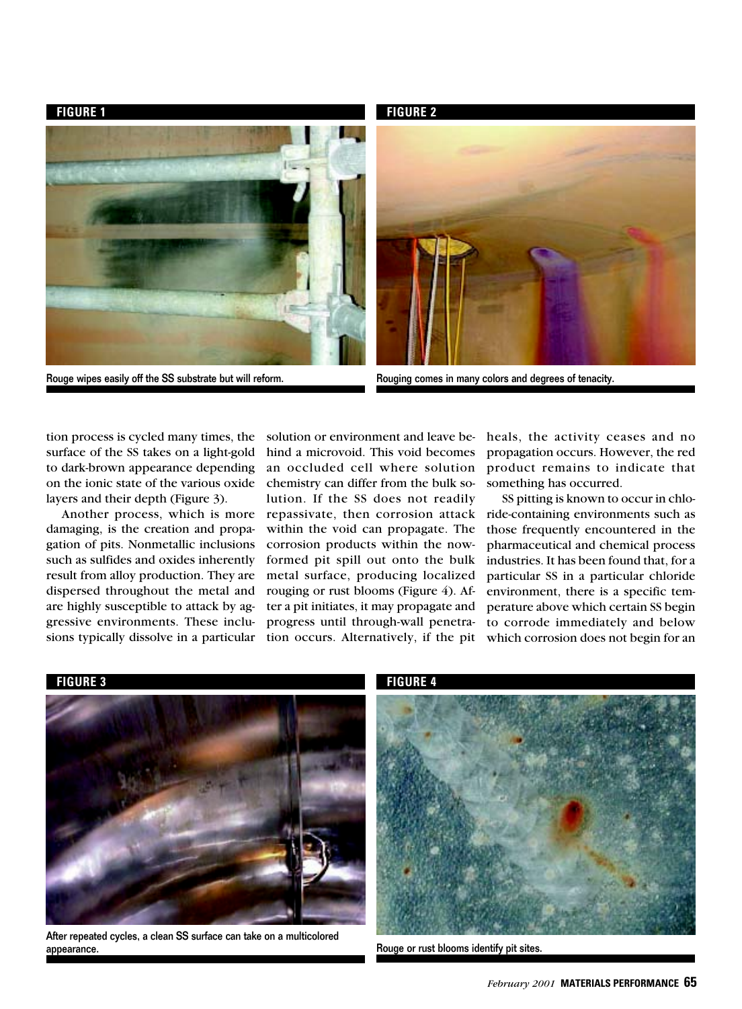**FIGURE 1** FIGURE 2

Rouge wipes easily off the SS substrate but will reform. The reason of repress in many colors and degrees of tenacity.



tion process is cycled many times, the surface of the SS takes on a light-gold to dark-brown appearance depending on the ionic state of the various oxide layers and their depth (Figure 3).

Another process, which is more damaging, is the creation and propagation of pits. Nonmetallic inclusions such as sulfides and oxides inherently result from alloy production. They are dispersed throughout the metal and are highly susceptible to attack by aggressive environments. These inclusions typically dissolve in a particular

solution or environment and leave behind a microvoid. This void becomes an occluded cell where solution chemistry can differ from the bulk solution. If the SS does not readily repassivate, then corrosion attack within the void can propagate. The corrosion products within the nowformed pit spill out onto the bulk metal surface, producing localized rouging or rust blooms (Figure 4). After a pit initiates, it may propagate and progress until through-wall penetration occurs. Alternatively, if the pit

heals, the activity ceases and no propagation occurs. However, the red product remains to indicate that something has occurred.

SS pitting is known to occur in chloride-containing environments such as those frequently encountered in the pharmaceutical and chemical process industries. It has been found that, for a particular SS in a particular chloride environment, there is a specific temperature above which certain SS begin to corrode immediately and below which corrosion does not begin for an



After repeated cycles, a clean SS surface can take on a multicolored appearance. The contract of the contract of the contract of the contract of the contract of the contract of the contract of the contract of the contract of the contract of the contract of the contract of the contract of th